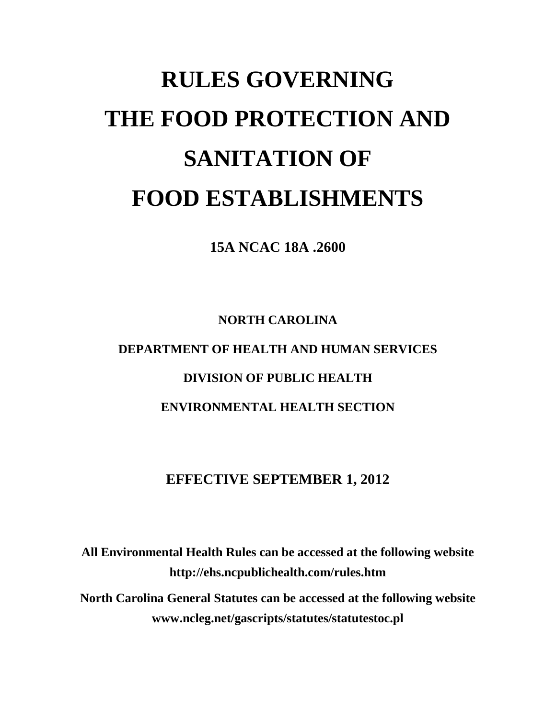# **RULES GOVERNING THE FOOD PROTECTION AND SANITATION OF FOOD ESTABLISHMENTS**

**15A NCAC 18A .2600**

**NORTH CAROLINA DEPARTMENT OF HEALTH AND HUMAN SERVICES DIVISION OF PUBLIC HEALTH ENVIRONMENTAL HEALTH SECTION**

### **EFFECTIVE SEPTEMBER 1, 2012**

**All Environmental Health Rules can be accessed at the following website http://ehs.ncpublichealth.com/rules.htm North Carolina General Statutes can be accessed at the following website www.ncleg.net/gascripts/statutes/statutestoc.pl**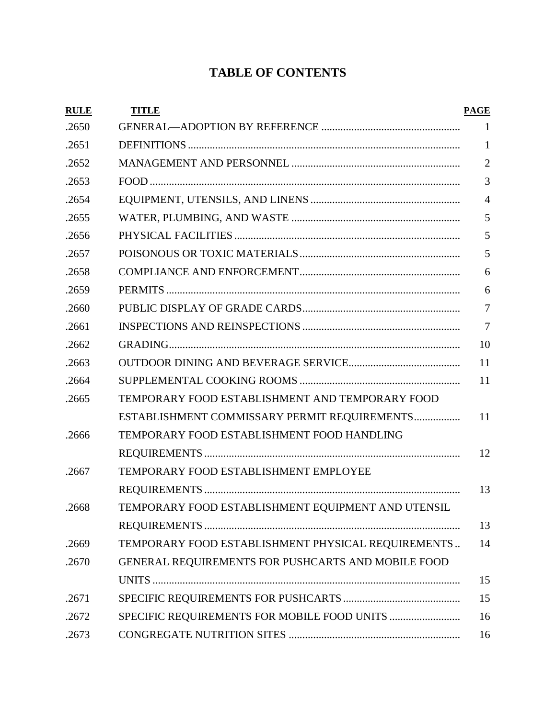## **TABLE OF CONTENTS**

| <b>RULE</b> | <b>TITLE</b>                                       | <b>PAGE</b>    |
|-------------|----------------------------------------------------|----------------|
| .2650       |                                                    | 1              |
| .2651       |                                                    | 1              |
| .2652       |                                                    | $\overline{2}$ |
| .2653       |                                                    | 3              |
| .2654       |                                                    | $\overline{4}$ |
| .2655       |                                                    | 5              |
| .2656       |                                                    | 5              |
| .2657       |                                                    | 5              |
| .2658       |                                                    | 6              |
| .2659       |                                                    | 6              |
| .2660       |                                                    | 7              |
| .2661       |                                                    | $\overline{7}$ |
| .2662       |                                                    | 10             |
| .2663       |                                                    | 11             |
| .2664       |                                                    | 11             |
| .2665       | TEMPORARY FOOD ESTABLISHMENT AND TEMPORARY FOOD    |                |
|             | ESTABLISHMENT COMMISSARY PERMIT REQUIREMENTS       | 11             |
| .2666       | TEMPORARY FOOD ESTABLISHMENT FOOD HANDLING         |                |
|             |                                                    | 12             |
| .2667       | TEMPORARY FOOD ESTABLISHMENT EMPLOYEE              |                |
|             |                                                    | 13             |
| .2668       | TEMPORARY FOOD ESTABLISHMENT EQUIPMENT AND UTENSIL |                |
|             |                                                    | 13             |
| .2669       | TEMPORARY FOOD ESTABLISHMENT PHYSICAL REQUIREMENTS | 14             |
| .2670       | GENERAL REQUIREMENTS FOR PUSHCARTS AND MOBILE FOOD |                |
|             |                                                    | 15             |
| .2671       |                                                    | 15             |
| .2672       | SPECIFIC REQUIREMENTS FOR MOBILE FOOD UNITS        | 16             |
| .2673       |                                                    | 16             |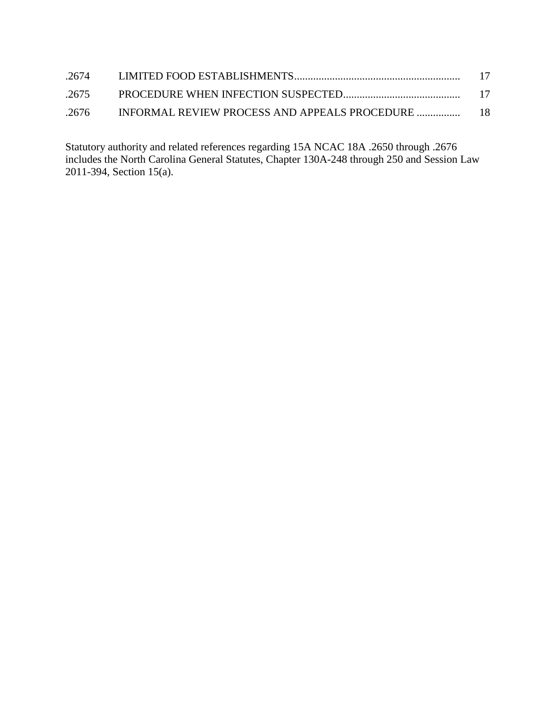| .2674 | - 17 |
|-------|------|
| .2675 |      |
| .2676 |      |

Statutory authority and related references regarding 15A NCAC 18A .2650 through .2676 includes the North Carolina General Statutes, Chapter 130A-248 through 250 and Session Law 2011-394, Section 15(a).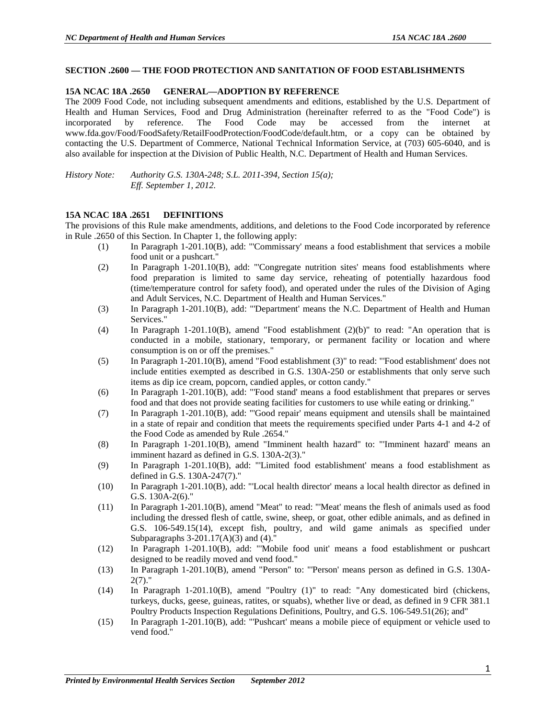#### **SECTION .2600 — THE FOOD PROTECTION AND SANITATION OF FOOD ESTABLISHMENTS**

#### **15A NCAC 18A .2650 GENERAL—ADOPTION BY REFERENCE**

The 2009 Food Code, not including subsequent amendments and editions, established by the U.S. Department of Health and Human Services, Food and Drug Administration (hereinafter referred to as the "Food Code") is incorporated by reference. The Food Code may be accessed from the internet at www.fda.gov/Food/FoodSafety/RetailFoodProtection/FoodCode/default.htm, or a copy can be obtained by contacting the U.S. Department of Commerce, National Technical Information Service, at (703) 605-6040, and is also available for inspection at the Division of Public Health, N.C. Department of Health and Human Services.

*History Note: Authority G.S. 130A-248; S.L. 2011-394, Section 15(a); Eff. September 1, 2012.*

#### **15A NCAC 18A .2651 DEFINITIONS**

The provisions of this Rule make amendments, additions, and deletions to the Food Code incorporated by reference in Rule .2650 of this Section. In Chapter 1, the following apply:

- (1) In Paragraph 1-201.10(B), add: "'Commissary' means a food establishment that services a mobile food unit or a pushcart."
- (2) In Paragraph 1-201.10(B), add: "'Congregate nutrition sites' means food establishments where food preparation is limited to same day service, reheating of potentially hazardous food (time/temperature control for safety food), and operated under the rules of the Division of Aging and Adult Services, N.C. Department of Health and Human Services."
- (3) In Paragraph 1-201.10(B), add: "'Department' means the N.C. Department of Health and Human Services."
- (4) In Paragraph 1-201.10(B), amend "Food establishment (2)(b)" to read: "An operation that is conducted in a mobile, stationary, temporary, or permanent facility or location and where consumption is on or off the premises."
- (5) In Paragraph 1-201.10(B), amend "Food establishment (3)" to read: "'Food establishment' does not include entities exempted as described in G.S. 130A-250 or establishments that only serve such items as dip ice cream, popcorn, candied apples, or cotton candy."
- (6) In Paragraph 1-201.10(B), add: "'Food stand' means a food establishment that prepares or serves food and that does not provide seating facilities for customers to use while eating or drinking."
- (7) In Paragraph 1-201.10(B), add: "'Good repair' means equipment and utensils shall be maintained in a state of repair and condition that meets the requirements specified under Parts 4-1 and 4-2 of the Food Code as amended by Rule .2654."
- (8) In Paragraph 1-201.10(B), amend "Imminent health hazard" to: "'Imminent hazard' means an imminent hazard as defined in G.S. 130A-2(3)."
- (9) In Paragraph 1-201.10(B), add: "'Limited food establishment' means a food establishment as defined in G.S. 130A-247(7)."
- (10) In Paragraph 1-201.10(B), add: "'Local health director' means a local health director as defined in G.S. 130A-2(6)."
- (11) In Paragraph 1-201.10(B), amend "Meat" to read: "'Meat' means the flesh of animals used as food including the dressed flesh of cattle, swine, sheep, or goat, other edible animals, and as defined in G.S. 106-549.15(14), except fish, poultry, and wild game animals as specified under Subparagraphs  $3-201.17(A)(3)$  and  $(4)$ ."
- (12) In Paragraph 1-201.10(B), add: "'Mobile food unit' means a food establishment or pushcart designed to be readily moved and vend food."
- (13) In Paragraph 1-201.10(B), amend "Person" to: "'Person' means person as defined in G.S. 130A- $2(7)$ ."
- (14) In Paragraph 1-201.10(B), amend "Poultry (1)" to read: "Any domesticated bird (chickens, turkeys, ducks, geese, guineas, ratites, or squabs), whether live or dead, as defined in 9 CFR 381.1 Poultry Products Inspection Regulations Definitions, Poultry, and G.S. 106-549.51(26); and"
- (15) In Paragraph 1-201.10(B), add: "'Pushcart' means a mobile piece of equipment or vehicle used to vend food."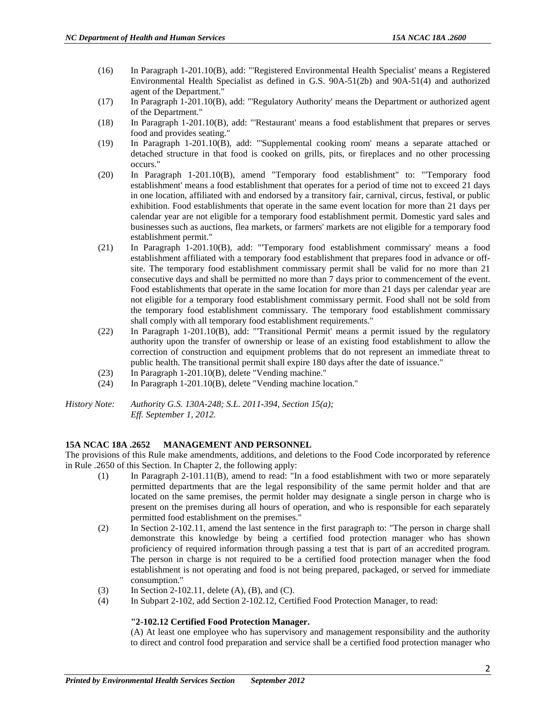- (16) In Paragraph 1-201.10(B), add: "'Registered Environmental Health Specialist' means a Registered Environmental Health Specialist as defined in G.S. 90A-51(2b) and 90A-51(4) and authorized agent of the Department."
- (17) In Paragraph 1-201.10(B), add: "'Regulatory Authority' means the Department or authorized agent of the Department."
- (18) In Paragraph 1-201.10(B), add: "'Restaurant' means a food establishment that prepares or serves food and provides seating."
- (19) In Paragraph 1-201.10(B), add: "'Supplemental cooking room' means a separate attached or detached structure in that food is cooked on grills, pits, or fireplaces and no other processing occurs."
- (20) In Paragraph 1-201.10(B), amend "Temporary food establishment" to: "'Temporary food establishment' means a food establishment that operates for a period of time not to exceed 21 days in one location, affiliated with and endorsed by a transitory fair, carnival, circus, festival, or public exhibition. Food establishments that operate in the same event location for more than 21 days per calendar year are not eligible for a temporary food establishment permit. Domestic yard sales and businesses such as auctions, flea markets, or farmers' markets are not eligible for a temporary food establishment permit."
- (21) In Paragraph 1-201.10(B), add: "'Temporary food establishment commissary' means a food establishment affiliated with a temporary food establishment that prepares food in advance or offsite. The temporary food establishment commissary permit shall be valid for no more than 21 consecutive days and shall be permitted no more than 7 days prior to commencement of the event. Food establishments that operate in the same location for more than 21 days per calendar year are not eligible for a temporary food establishment commissary permit. Food shall not be sold from the temporary food establishment commissary. The temporary food establishment commissary shall comply with all temporary food establishment requirements."
- (22) In Paragraph 1-201.10(B), add: "'Transitional Permit' means a permit issued by the regulatory authority upon the transfer of ownership or lease of an existing food establishment to allow the correction of construction and equipment problems that do not represent an immediate threat to public health. The transitional permit shall expire 180 days after the date of issuance."
- (23) In Paragraph 1-201.10(B), delete "Vending machine."
- (24) In Paragraph 1-201.10(B), delete "Vending machine location."

*History Note: Authority G.S. 130A-248; S.L. 2011-394, Section 15(a); Eff. September 1, 2012.*

#### **15A NCAC 18A .2652 MANAGEMENT AND PERSONNEL**

The provisions of this Rule make amendments, additions, and deletions to the Food Code incorporated by reference in Rule .2650 of this Section. In Chapter 2, the following apply:

- (1) In Paragraph 2-101.11(B), amend to read: "In a food establishment with two or more separately permitted departments that are the legal responsibility of the same permit holder and that are located on the same premises, the permit holder may designate a single person in charge who is present on the premises during all hours of operation, and who is responsible for each separately permitted food establishment on the premises."
- (2) In Section 2-102.11, amend the last sentence in the first paragraph to: "The person in charge shall demonstrate this knowledge by being a certified food protection manager who has shown proficiency of required information through passing a test that is part of an accredited program. The person in charge is not required to be a certified food protection manager when the food establishment is not operating and food is not being prepared, packaged, or served for immediate consumption."
- (3) In Section 2-102.11, delete  $(A)$ ,  $(B)$ , and  $(C)$ .
- (4) In Subpart 2-102, add Section 2-102.12, Certified Food Protection Manager, to read:

#### **"2-102.12 Certified Food Protection Manager.**

(A) At least one employee who has supervisory and management responsibility and the authority to direct and control food preparation and service shall be a certified food protection manager who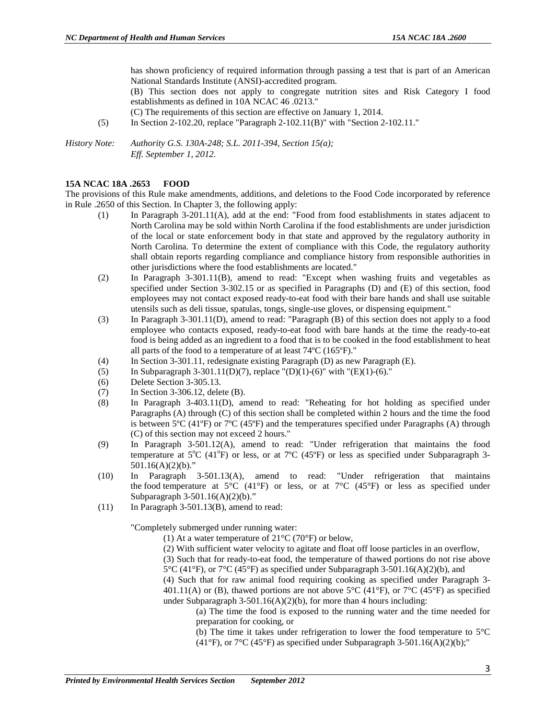has shown proficiency of required information through passing a test that is part of an American National Standards Institute (ANSI)-accredited program.

(B) This section does not apply to congregate nutrition sites and Risk Category I food establishments as defined in 10A NCAC 46 .0213."

(C) The requirements of this section are effective on January 1, 2014.

(5) In Section 2-102.20, replace "Paragraph 2-102.11(B)" with "Section 2-102.11."

*History Note: Authority G.S. 130A-248; S.L. 2011-394, Section 15(a); Eff. September 1, 2012.*

#### **15A NCAC 18A .2653 FOOD**

The provisions of this Rule make amendments, additions, and deletions to the Food Code incorporated by reference in Rule .2650 of this Section. In Chapter 3, the following apply:

- (1) In Paragraph 3-201.11(A), add at the end: "Food from food establishments in states adjacent to North Carolina may be sold within North Carolina if the food establishments are under jurisdiction of the local or state enforcement body in that state and approved by the regulatory authority in North Carolina. To determine the extent of compliance with this Code, the regulatory authority shall obtain reports regarding compliance and compliance history from responsible authorities in other jurisdictions where the food establishments are located."
- (2) In Paragraph 3-301.11(B), amend to read: "Except when washing fruits and vegetables as specified under Section 3-302.15 or as specified in Paragraphs (D) and (E) of this section, food employees may not contact exposed ready-to-eat food with their bare hands and shall use suitable utensils such as deli tissue, spatulas, tongs, single-use gloves, or dispensing equipment*.*"
- (3) In Paragraph 3-301.11(D), amend to read: "Paragraph (B) of this section does not apply to a food employee who contacts exposed, ready-to-eat food with bare hands at the time the ready-to-eat food is being added as an ingredient to a food that is to be cooked in the food establishment to heat all parts of the food to a temperature of at least 74ºC (165ºF)."
- (4) In Section 3-301.11, redesignate existing Paragraph (D) as new Paragraph (E).
- (5) In Subparagraph 3-301.11(D)(7), replace "(D)(1)-(6)" with "(E)(1)-(6)."
- (6) Delete Section 3-305.13.
- (7) In Section 3-306.12, delete (B).
- (8) In Paragraph 3-403.11(D), amend to read: "Reheating for hot holding as specified under Paragraphs (A) through (C) of this section shall be completed within 2 hours and the time the food is between  $5^{\circ}C$  (41 $^{\circ}F$ ) or  $7^{\circ}C$  (45 $^{\circ}F$ ) and the temperatures specified under Paragraphs (A) through (C) of this section may not exceed 2 hours."
- (9) In Paragraph 3-501.12(A), amend to read: "Under refrigeration that maintains the food temperature at 5°C (41°F) or less, or at 7°C (45°F) or less as specified under Subparagraph 3- $501.16(A)(2)(b)$ ."
- (10) In Paragraph 3-501.13(A), amend to read: "Under refrigeration that maintains the food temperature at  $5^{\circ}C$  (41°F) or less, or at  $7^{\circ}C$  (45°F) or less as specified under Subparagraph 3-501.16(A)(2)(b)."
- $(11)$  In Paragraph 3-501.13(B), amend to read:

"Completely submerged under running water:

- (1) At a water temperature of  $21^{\circ}$ C (70°F) or below,
- (2) With sufficient water velocity to agitate and float off loose particles in an overflow,

(3) Such that for ready-to-eat food, the temperature of thawed portions do not rise above  $5^{\circ}$ C (41 $^{\circ}$ F), or  $7^{\circ}$ C (45 $^{\circ}$ F) as specified under Subparagraph 3-501.16(A)(2)(b), and

(4) Such that for raw animal food requiring cooking as specified under Paragraph 3- 401.11(A) or (B), thawed portions are not above 5 $\degree$ C (41 $\degree$ F), or 7 $\degree$ C (45 $\degree$ F) as specified under Subparagraph  $3-501.16(A)(2)(b)$ , for more than 4 hours including:

- (a) The time the food is exposed to the running water and the time needed for preparation for cooking, or
- (b) The time it takes under refrigeration to lower the food temperature to  $5^{\circ}$ C (41°F), or  $7^{\circ}$ C (45°F) as specified under Subparagraph 3-501.16(A)(2)(b);"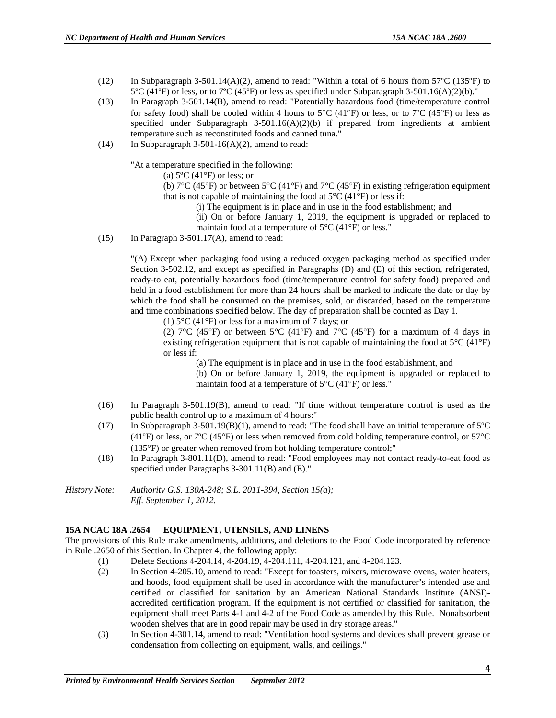- (12) In Subparagraph 3-501.14(A)(2), amend to read: "Within a total of 6 hours from 57°C (135°F) to  $5^{\circ}$ C (41<sup>o</sup>F) or less, or to 7<sup>o</sup>C (45<sup>o</sup>F) or less as specified under Subparagraph 3-501.16(A)(2)(b)."
- (13) In Paragraph 3-501.14(B), amend to read: "Potentially hazardous food (time/temperature control for safety food) shall be cooled within 4 hours to 5 $\rm{^{\circ}C}$  (41 $\rm{^{\circ}F}$ ) or less, or to 7 $\rm{^{\circ}C}$  (45 $\rm{^{\circ}F}$ ) or less as specified under Subparagraph  $3-501.16(A)(2)(b)$  if prepared from ingredients at ambient temperature such as reconstituted foods and canned tuna."
- (14) In Subparagraph 3-501-16(A)(2), amend to read:

"At a temperature specified in the following:

(a)  $5^{\circ}$ C (41 $^{\circ}$ F) or less; or

(b)  $7^{\circ}$ C (45°F) or between 5°C (41°F) and  $7^{\circ}$ C (45°F) in existing refrigeration equipment that is not capable of maintaining the food at  $5^{\circ}$ C (41 $^{\circ}$ F) or less if:

(i) The equipment is in place and in use in the food establishment; and

(ii) On or before January 1, 2019, the equipment is upgraded or replaced to maintain food at a temperature of  $5^{\circ}$ C (41 $^{\circ}$ F) or less."

(15) In Paragraph  $3-501.17(A)$ , amend to read:

"(A) Except when packaging food using a reduced oxygen packaging method as specified under Section 3-502.12, and except as specified in Paragraphs (D) and (E) of this section, refrigerated, ready-to eat, potentially hazardous food (time/temperature control for safety food) prepared and held in a food establishment for more than 24 hours shall be marked to indicate the date or day by which the food shall be consumed on the premises, sold, or discarded, based on the temperature and time combinations specified below. The day of preparation shall be counted as Day 1.

(1) 5°C (41°F) or less for a maximum of 7 days; or

(2)  $7^{\circ}$ C (45°F) or between  $5^{\circ}$ C (41°F) and  $7^{\circ}$ C (45°F) for a maximum of 4 days in existing refrigeration equipment that is not capable of maintaining the food at  $5^{\circ}C(41^{\circ}F)$ or less if:

(a) The equipment is in place and in use in the food establishment, and

(b) On or before January 1, 2019, the equipment is upgraded or replaced to maintain food at a temperature of 5°C (41°F) or less."

- (16) In Paragraph 3-501.19(B), amend to read: "If time without temperature control is used as the public health control up to a maximum of 4 hours:"
- (17) In Subparagraph 3-501.19(B)(1), amend to read: "The food shall have an initial temperature of 5ºC (41ºF) or less, or 7ºC (45°F) or less when removed from cold holding temperature control, or 57°C (135°F) or greater when removed from hot holding temperature control;"
- (18) In Paragraph 3-801.11(D), amend to read: "Food employees may not contact ready-to-eat food as specified under Paragraphs 3-301.11(B) and (E)."
- *History Note: Authority G.S. 130A-248; S.L. 2011-394, Section 15(a); Eff. September 1, 2012.*

#### **15A NCAC 18A .2654 EQUIPMENT, UTENSILS, AND LINENS**

The provisions of this Rule make amendments, additions, and deletions to the Food Code incorporated by reference in Rule .2650 of this Section. In Chapter 4, the following apply:

- (1) Delete Sections 4-204.14, 4-204.19, 4-204.111, 4-204.121, and 4-204.123.
- (2) In Section 4-205.10, amend to read: "Except for toasters, mixers, microwave ovens, water heaters, and hoods, food equipment shall be used in accordance with the manufacturer's intended use and certified or classified for sanitation by an American National Standards Institute (ANSI) accredited certification program. If the equipment is not certified or classified for sanitation, the equipment shall meet Parts 4-1 and 4-2 of the Food Code as amended by this Rule. Nonabsorbent wooden shelves that are in good repair may be used in dry storage areas."
- (3) In Section 4-301.14, amend to read: "Ventilation hood systems and devices shall prevent grease or condensation from collecting on equipment, walls, and ceilings."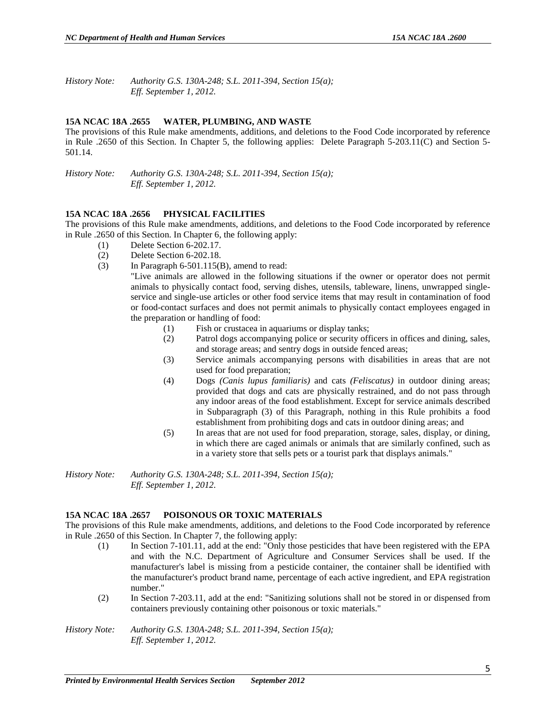*History Note: Authority G.S. 130A-248; S.L. 2011-394, Section 15(a); Eff. September 1, 2012.*

#### **15A NCAC 18A .2655 WATER, PLUMBING, AND WASTE**

The provisions of this Rule make amendments, additions, and deletions to the Food Code incorporated by reference in Rule .2650 of this Section. In Chapter 5, the following applies: Delete Paragraph 5-203.11(C) and Section 5- 501.14.

*History Note: Authority G.S. 130A-248; S.L. 2011-394, Section 15(a); Eff. September 1, 2012.*

#### **15A NCAC 18A .2656 PHYSICAL FACILITIES**

The provisions of this Rule make amendments, additions, and deletions to the Food Code incorporated by reference in Rule .2650 of this Section. In Chapter 6, the following apply:

- (1) Delete Section 6-202.17.
- (2) Delete Section 6-202.18.
- (3) In Paragraph  $6-501.115(B)$ , amend to read:

"Live animals are allowed in the following situations if the owner or operator does not permit animals to physically contact food, serving dishes, utensils, tableware, linens, unwrapped singleservice and single-use articles or other food service items that may result in contamination of food or food-contact surfaces and does not permit animals to physically contact employees engaged in the preparation or handling of food:

- (1) Fish or crustacea in aquariums or display tanks;
- (2) Patrol dogs accompanying police or security officers in offices and dining, sales, and storage areas; and sentry dogs in outside fenced areas;
- (3) Service animals accompanying persons with disabilities in areas that are not used for food preparation;
- (4) Dogs *(Canis lupus familiaris)* and cats *(Feliscatus)* in outdoor dining areas; provided that dogs and cats are physically restrained, and do not pass through any indoor areas of the food establishment. Except for service animals described in Subparagraph (3) of this Paragraph, nothing in this Rule prohibits a food establishment from prohibiting dogs and cats in outdoor dining areas; and
- (5) In areas that are not used for food preparation, storage, sales, display, or dining, in which there are caged animals or animals that are similarly confined, such as in a variety store that sells pets or a tourist park that displays animals."

*History Note: Authority G.S. 130A-248; S.L. 2011-394, Section 15(a); Eff. September 1, 2012.*

#### **15A NCAC 18A .2657 POISONOUS OR TOXIC MATERIALS**

The provisions of this Rule make amendments, additions, and deletions to the Food Code incorporated by reference in Rule .2650 of this Section. In Chapter 7, the following apply:

- (1) In Section 7-101.11, add at the end: "Only those pesticides that have been registered with the EPA and with the N.C. Department of Agriculture and Consumer Services shall be used. If the manufacturer's label is missing from a pesticide container, the container shall be identified with the manufacturer's product brand name, percentage of each active ingredient, and EPA registration number."
- (2) In Section 7-203.11, add at the end: "Sanitizing solutions shall not be stored in or dispensed from containers previously containing other poisonous or toxic materials."

*History Note: Authority G.S. 130A-248; S.L. 2011-394, Section 15(a); Eff. September 1, 2012.*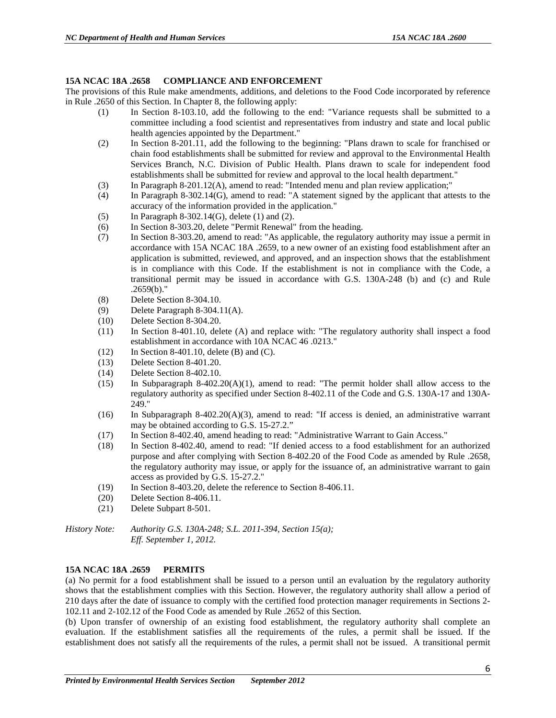#### **15A NCAC 18A .2658 COMPLIANCE AND ENFORCEMENT**

The provisions of this Rule make amendments, additions, and deletions to the Food Code incorporated by reference in Rule .2650 of this Section. In Chapter 8, the following apply:

- (1) In Section 8-103.10, add the following to the end: "Variance requests shall be submitted to a committee including a food scientist and representatives from industry and state and local public health agencies appointed by the Department."
- (2) In Section 8-201.11, add the following to the beginning: "Plans drawn to scale for franchised or chain food establishments shall be submitted for review and approval to the Environmental Health Services Branch, N.C. Division of Public Health. Plans drawn to scale for independent food establishments shall be submitted for review and approval to the local health department."
- (3) In Paragraph 8-201.12(A), amend to read: "Intended menu and plan review application;"
- (4) In Paragraph 8-302.14(G), amend to read: "A statement signed by the applicant that attests to the accuracy of the information provided in the application."
- (5) In Paragraph 8-302.14(G), delete (1) and (2).
- (6) In Section 8-303.20, delete "Permit Renewal" from the heading.
- (7) In Section 8-303.20, amend to read: "As applicable, the regulatory authority may issue a permit in accordance with 15A NCAC 18A .2659, to a new owner of an existing food establishment after an application is submitted, reviewed, and approved, and an inspection shows that the establishment is in compliance with this Code. If the establishment is not in compliance with the Code, a transitional permit may be issued in accordance with G.S. 130A-248 (b) and (c) and Rule .2659(b)."
- (8) Delete Section 8-304.10.
- (9) Delete Paragraph 8-304.11(A).
- (10) Delete Section 8-304.20.
- (11) In Section 8-401.10, delete (A) and replace with: "The regulatory authority shall inspect a food establishment in accordance with 10A NCAC 46 .0213."
- $(12)$  In Section 8-401.10, delete (B) and (C).
- (13) Delete Section 8-401.20.
- (14) Delete Section 8-402.10.
- (15) In Subparagraph 8-402.20(A)(1), amend to read: "The permit holder shall allow access to the regulatory authority as specified under Section 8-402.11 of the Code and G.S. 130A-17 and 130A-249."
- (16) In Subparagraph 8-402.20(A)(3), amend to read: "If access is denied, an administrative warrant may be obtained according to G.S. 15-27.2."
- (17) In Section 8-402.40, amend heading to read: "Administrative Warrant to Gain Access."
- (18) In Section 8-402.40, amend to read: "If denied access to a food establishment for an authorized purpose and after complying with Section 8-402.20 of the Food Code as amended by Rule .2658, the regulatory authority may issue, or apply for the issuance of, an administrative warrant to gain access as provided by G.S. 15-27.2."
- (19) In Section 8-403.20, delete the reference to Section 8-406.11.
- (20) Delete Section 8-406.11.
- (21) Delete Subpart 8-501.

*History Note: Authority G.S. 130A-248; S.L. 2011-394, Section 15(a); Eff. September 1, 2012.*

#### **15A NCAC 18A .2659 PERMITS**

(a) No permit for a food establishment shall be issued to a person until an evaluation by the regulatory authority shows that the establishment complies with this Section. However, the regulatory authority shall allow a period of 210 days after the date of issuance to comply with the certified food protection manager requirements in Sections 2- 102.11 and 2-102.12 of the Food Code as amended by Rule .2652 of this Section.

(b) Upon transfer of ownership of an existing food establishment, the regulatory authority shall complete an evaluation. If the establishment satisfies all the requirements of the rules, a permit shall be issued. If the establishment does not satisfy all the requirements of the rules, a permit shall not be issued. A transitional permit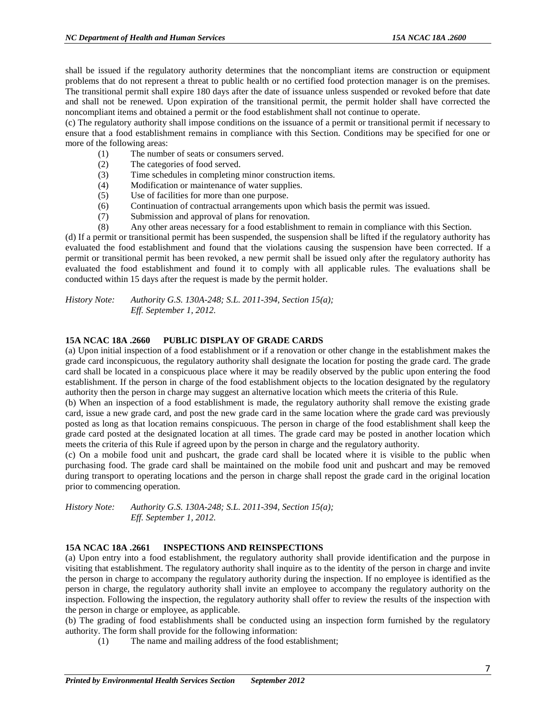shall be issued if the regulatory authority determines that the noncompliant items are construction or equipment problems that do not represent a threat to public health or no certified food protection manager is on the premises. The transitional permit shall expire 180 days after the date of issuance unless suspended or revoked before that date and shall not be renewed. Upon expiration of the transitional permit, the permit holder shall have corrected the noncompliant items and obtained a permit or the food establishment shall not continue to operate.

(c) The regulatory authority shall impose conditions on the issuance of a permit or transitional permit if necessary to ensure that a food establishment remains in compliance with this Section. Conditions may be specified for one or more of the following areas:

- (1) The number of seats or consumers served.
- (2) The categories of food served.
- (3) Time schedules in completing minor construction items.
- (4) Modification or maintenance of water supplies.
- (5) Use of facilities for more than one purpose.
- (6) Continuation of contractual arrangements upon which basis the permit was issued.
- (7) Submission and approval of plans for renovation.
- (8) Any other areas necessary for a food establishment to remain in compliance with this Section.

(d) If a permit or transitional permit has been suspended, the suspension shall be lifted if the regulatory authority has evaluated the food establishment and found that the violations causing the suspension have been corrected. If a permit or transitional permit has been revoked, a new permit shall be issued only after the regulatory authority has evaluated the food establishment and found it to comply with all applicable rules. The evaluations shall be conducted within 15 days after the request is made by the permit holder.

*History Note: Authority G.S. 130A-248; S.L. 2011-394, Section 15(a); Eff. September 1, 2012.*

#### **15A NCAC 18A .2660 PUBLIC DISPLAY OF GRADE CARDS**

(a) Upon initial inspection of a food establishment or if a renovation or other change in the establishment makes the grade card inconspicuous, the regulatory authority shall designate the location for posting the grade card. The grade card shall be located in a conspicuous place where it may be readily observed by the public upon entering the food establishment. If the person in charge of the food establishment objects to the location designated by the regulatory authority then the person in charge may suggest an alternative location which meets the criteria of this Rule.

(b) When an inspection of a food establishment is made, the regulatory authority shall remove the existing grade card, issue a new grade card, and post the new grade card in the same location where the grade card was previously posted as long as that location remains conspicuous. The person in charge of the food establishment shall keep the grade card posted at the designated location at all times. The grade card may be posted in another location which meets the criteria of this Rule if agreed upon by the person in charge and the regulatory authority.

(c) On a mobile food unit and pushcart, the grade card shall be located where it is visible to the public when purchasing food. The grade card shall be maintained on the mobile food unit and pushcart and may be removed during transport to operating locations and the person in charge shall repost the grade card in the original location prior to commencing operation.

*History Note: Authority G.S. 130A-248; S.L. 2011-394, Section 15(a); Eff. September 1, 2012.*

#### **15A NCAC 18A .2661 INSPECTIONS AND REINSPECTIONS**

(a) Upon entry into a food establishment, the regulatory authority shall provide identification and the purpose in visiting that establishment. The regulatory authority shall inquire as to the identity of the person in charge and invite the person in charge to accompany the regulatory authority during the inspection. If no employee is identified as the person in charge, the regulatory authority shall invite an employee to accompany the regulatory authority on the inspection. Following the inspection, the regulatory authority shall offer to review the results of the inspection with the person in charge or employee, as applicable.

(b) The grading of food establishments shall be conducted using an inspection form furnished by the regulatory authority. The form shall provide for the following information:

(1) The name and mailing address of the food establishment;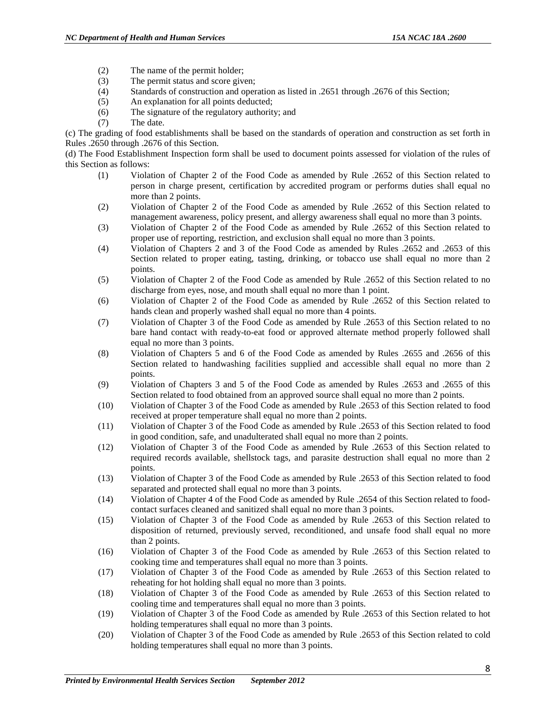- (2) The name of the permit holder;
- (3) The permit status and score given;
- (4) Standards of construction and operation as listed in .2651 through .2676 of this Section;
- (5) An explanation for all points deducted;
- (6) The signature of the regulatory authority; and
- (7) The date.

(c) The grading of food establishments shall be based on the standards of operation and construction as set forth in Rules .2650 through .2676 of this Section.

(d) The Food Establishment Inspection form shall be used to document points assessed for violation of the rules of this Section as follows:

- (1) Violation of Chapter 2 of the Food Code as amended by Rule .2652 of this Section related to person in charge present, certification by accredited program or performs duties shall equal no more than 2 points.
- (2) Violation of Chapter 2 of the Food Code as amended by Rule .2652 of this Section related to management awareness, policy present, and allergy awareness shall equal no more than 3 points.
- (3) Violation of Chapter 2 of the Food Code as amended by Rule .2652 of this Section related to proper use of reporting, restriction, and exclusion shall equal no more than 3 points.
- (4) Violation of Chapters 2 and 3 of the Food Code as amended by Rules .2652 and .2653 of this Section related to proper eating, tasting, drinking, or tobacco use shall equal no more than 2 points.
- (5) Violation of Chapter 2 of the Food Code as amended by Rule .2652 of this Section related to no discharge from eyes, nose, and mouth shall equal no more than 1 point.
- (6) Violation of Chapter 2 of the Food Code as amended by Rule .2652 of this Section related to hands clean and properly washed shall equal no more than 4 points.
- (7) Violation of Chapter 3 of the Food Code as amended by Rule .2653 of this Section related to no bare hand contact with ready-to-eat food or approved alternate method properly followed shall equal no more than 3 points.
- (8) Violation of Chapters 5 and 6 of the Food Code as amended by Rules .2655 and .2656 of this Section related to handwashing facilities supplied and accessible shall equal no more than 2 points.
- (9) Violation of Chapters 3 and 5 of the Food Code as amended by Rules .2653 and .2655 of this Section related to food obtained from an approved source shall equal no more than 2 points.
- (10) Violation of Chapter 3 of the Food Code as amended by Rule .2653 of this Section related to food received at proper temperature shall equal no more than 2 points.
- (11) Violation of Chapter 3 of the Food Code as amended by Rule .2653 of this Section related to food in good condition, safe, and unadulterated shall equal no more than 2 points.
- (12) Violation of Chapter 3 of the Food Code as amended by Rule .2653 of this Section related to required records available, shellstock tags, and parasite destruction shall equal no more than 2 points.
- (13) Violation of Chapter 3 of the Food Code as amended by Rule .2653 of this Section related to food separated and protected shall equal no more than 3 points.
- (14) Violation of Chapter 4 of the Food Code as amended by Rule .2654 of this Section related to foodcontact surfaces cleaned and sanitized shall equal no more than 3 points.
- (15) Violation of Chapter 3 of the Food Code as amended by Rule .2653 of this Section related to disposition of returned, previously served, reconditioned, and unsafe food shall equal no more than 2 points.
- (16) Violation of Chapter 3 of the Food Code as amended by Rule .2653 of this Section related to cooking time and temperatures shall equal no more than 3 points.
- (17) Violation of Chapter 3 of the Food Code as amended by Rule .2653 of this Section related to reheating for hot holding shall equal no more than 3 points.
- (18) Violation of Chapter 3 of the Food Code as amended by Rule .2653 of this Section related to cooling time and temperatures shall equal no more than 3 points.
- (19) Violation of Chapter 3 of the Food Code as amended by Rule .2653 of this Section related to hot holding temperatures shall equal no more than 3 points.
- (20) Violation of Chapter 3 of the Food Code as amended by Rule .2653 of this Section related to cold holding temperatures shall equal no more than 3 points.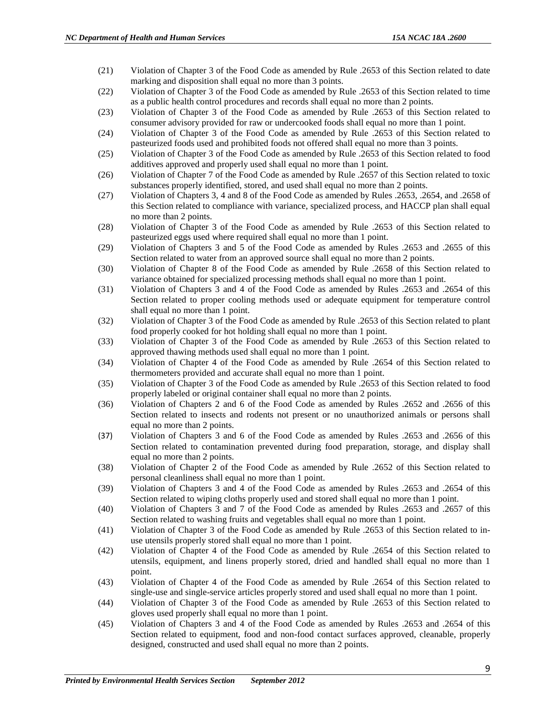- (21) Violation of Chapter 3 of the Food Code as amended by Rule .2653 of this Section related to date marking and disposition shall equal no more than 3 points.
- (22) Violation of Chapter 3 of the Food Code as amended by Rule .2653 of this Section related to time as a public health control procedures and records shall equal no more than 2 points.
- (23) Violation of Chapter 3 of the Food Code as amended by Rule .2653 of this Section related to consumer advisory provided for raw or undercooked foods shall equal no more than 1 point.
- (24) Violation of Chapter 3 of the Food Code as amended by Rule .2653 of this Section related to pasteurized foods used and prohibited foods not offered shall equal no more than 3 points.
- (25) Violation of Chapter 3 of the Food Code as amended by Rule .2653 of this Section related to food additives approved and properly used shall equal no more than 1 point.
- (26) Violation of Chapter 7 of the Food Code as amended by Rule .2657 of this Section related to toxic substances properly identified, stored, and used shall equal no more than 2 points.
- (27) Violation of Chapters 3, 4 and 8 of the Food Code as amended by Rules .2653, .2654, and .2658 of this Section related to compliance with variance, specialized process, and HACCP plan shall equal no more than 2 points.
- (28) Violation of Chapter 3 of the Food Code as amended by Rule .2653 of this Section related to pasteurized eggs used where required shall equal no more than 1 point.
- (29) Violation of Chapters 3 and 5 of the Food Code as amended by Rules .2653 and .2655 of this Section related to water from an approved source shall equal no more than 2 points.
- (30) Violation of Chapter 8 of the Food Code as amended by Rule .2658 of this Section related to variance obtained for specialized processing methods shall equal no more than 1 point.
- (31) Violation of Chapters 3 and 4 of the Food Code as amended by Rules .2653 and .2654 of this Section related to proper cooling methods used or adequate equipment for temperature control shall equal no more than 1 point.
- (32) Violation of Chapter 3 of the Food Code as amended by Rule .2653 of this Section related to plant food properly cooked for hot holding shall equal no more than 1 point.
- (33) Violation of Chapter 3 of the Food Code as amended by Rule .2653 of this Section related to approved thawing methods used shall equal no more than 1 point.
- (34) Violation of Chapter 4 of the Food Code as amended by Rule .2654 of this Section related to thermometers provided and accurate shall equal no more than 1 point.
- (35) Violation of Chapter 3 of the Food Code as amended by Rule .2653 of this Section related to food properly labeled or original container shall equal no more than 2 points.
- (36) Violation of Chapters 2 and 6 of the Food Code as amended by Rules .2652 and .2656 of this Section related to insects and rodents not present or no unauthorized animals or persons shall equal no more than 2 points.
- (37) Violation of Chapters 3 and 6 of the Food Code as amended by Rules .2653 and .2656 of this Section related to contamination prevented during food preparation, storage, and display shall equal no more than 2 points.
- (38) Violation of Chapter 2 of the Food Code as amended by Rule .2652 of this Section related to personal cleanliness shall equal no more than 1 point.
- (39) Violation of Chapters 3 and 4 of the Food Code as amended by Rules .2653 and .2654 of this Section related to wiping cloths properly used and stored shall equal no more than 1 point.
- (40) Violation of Chapters 3 and 7 of the Food Code as amended by Rules .2653 and .2657 of this Section related to washing fruits and vegetables shall equal no more than 1 point.
- (41) Violation of Chapter 3 of the Food Code as amended by Rule .2653 of this Section related to inuse utensils properly stored shall equal no more than 1 point.
- (42) Violation of Chapter 4 of the Food Code as amended by Rule .2654 of this Section related to utensils, equipment, and linens properly stored, dried and handled shall equal no more than 1 point.
- (43) Violation of Chapter 4 of the Food Code as amended by Rule .2654 of this Section related to single-use and single-service articles properly stored and used shall equal no more than 1 point.
- (44) Violation of Chapter 3 of the Food Code as amended by Rule .2653 of this Section related to gloves used properly shall equal no more than 1 point.
- (45) Violation of Chapters 3 and 4 of the Food Code as amended by Rules .2653 and .2654 of this Section related to equipment, food and non-food contact surfaces approved, cleanable, properly designed, constructed and used shall equal no more than 2 points.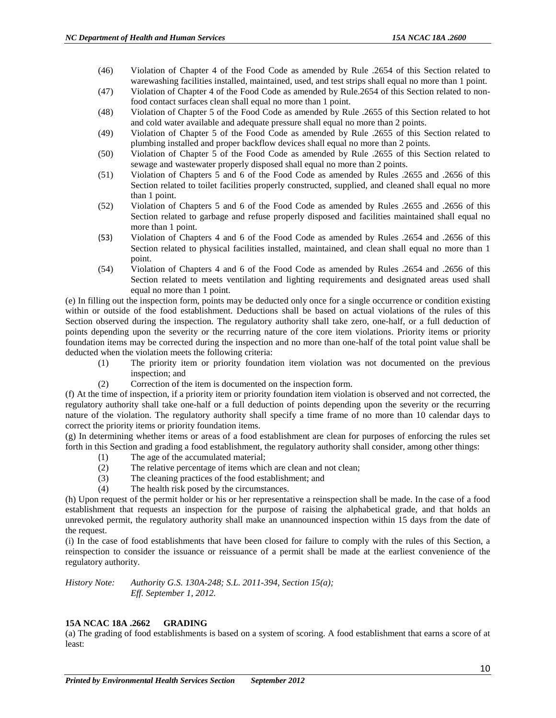- (46) Violation of Chapter 4 of the Food Code as amended by Rule .2654 of this Section related to warewashing facilities installed, maintained, used, and test strips shall equal no more than 1 point.
- (47) Violation of Chapter 4 of the Food Code as amended by Rule.2654 of this Section related to nonfood contact surfaces clean shall equal no more than 1 point.
- (48) Violation of Chapter 5 of the Food Code as amended by Rule .2655 of this Section related to hot and cold water available and adequate pressure shall equal no more than 2 points.
- (49) Violation of Chapter 5 of the Food Code as amended by Rule .2655 of this Section related to plumbing installed and proper backflow devices shall equal no more than 2 points.
- (50) Violation of Chapter 5 of the Food Code as amended by Rule .2655 of this Section related to sewage and wastewater properly disposed shall equal no more than 2 points.
- (51) Violation of Chapters 5 and 6 of the Food Code as amended by Rules .2655 and .2656 of this Section related to toilet facilities properly constructed, supplied, and cleaned shall equal no more than 1 point.
- (52) Violation of Chapters 5 and 6 of the Food Code as amended by Rules .2655 and .2656 of this Section related to garbage and refuse properly disposed and facilities maintained shall equal no more than 1 point.
- (53) Violation of Chapters 4 and 6 of the Food Code as amended by Rules .2654 and .2656 of this Section related to physical facilities installed, maintained, and clean shall equal no more than 1 point.
- (54) Violation of Chapters 4 and 6 of the Food Code as amended by Rules .2654 and .2656 of this Section related to meets ventilation and lighting requirements and designated areas used shall equal no more than 1 point.

(e) In filling out the inspection form, points may be deducted only once for a single occurrence or condition existing within or outside of the food establishment. Deductions shall be based on actual violations of the rules of this Section observed during the inspection. The regulatory authority shall take zero, one-half, or a full deduction of points depending upon the severity or the recurring nature of the core item violations. Priority items or priority foundation items may be corrected during the inspection and no more than one-half of the total point value shall be deducted when the violation meets the following criteria:

- (1) The priority item or priority foundation item violation was not documented on the previous inspection; and
- (2) Correction of the item is documented on the inspection form.

(f) At the time of inspection, if a priority item or priority foundation item violation is observed and not corrected, the regulatory authority shall take one-half or a full deduction of points depending upon the severity or the recurring nature of the violation. The regulatory authority shall specify a time frame of no more than 10 calendar days to correct the priority items or priority foundation items.

(g) In determining whether items or areas of a food establishment are clean for purposes of enforcing the rules set forth in this Section and grading a food establishment, the regulatory authority shall consider, among other things:

- (1) The age of the accumulated material;
- (2) The relative percentage of items which are clean and not clean;
- (3) The cleaning practices of the food establishment; and
- (4) The health risk posed by the circumstances.

(h) Upon request of the permit holder or his or her representative a reinspection shall be made. In the case of a food establishment that requests an inspection for the purpose of raising the alphabetical grade, and that holds an unrevoked permit, the regulatory authority shall make an unannounced inspection within 15 days from the date of the request.

(i) In the case of food establishments that have been closed for failure to comply with the rules of this Section, a reinspection to consider the issuance or reissuance of a permit shall be made at the earliest convenience of the regulatory authority.

*History Note: Authority G.S. 130A-248; S.L. 2011-394, Section 15(a); Eff. September 1, 2012.*

#### **15A NCAC 18A .2662 GRADING**

(a) The grading of food establishments is based on a system of scoring. A food establishment that earns a score of at least: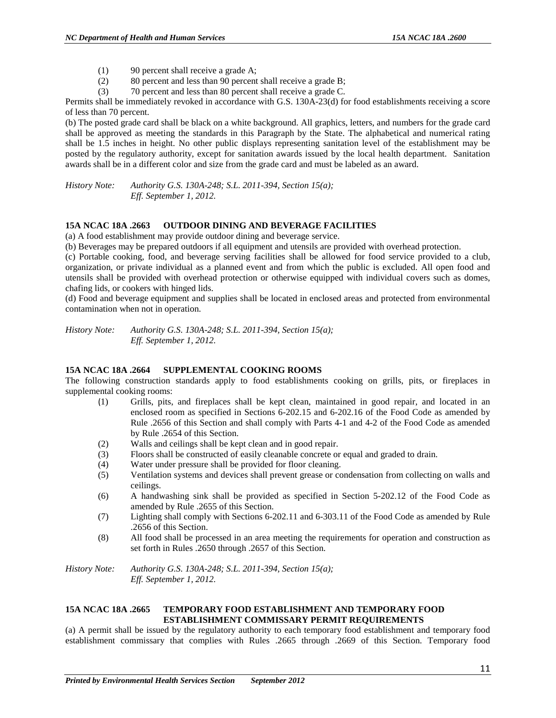- (1) 90 percent shall receive a grade A;
- (2) 80 percent and less than 90 percent shall receive a grade B;
- (3) 70 percent and less than 80 percent shall receive a grade C.

Permits shall be immediately revoked in accordance with G.S. 130A-23(d) for food establishments receiving a score of less than 70 percent.

(b) The posted grade card shall be black on a white background. All graphics, letters, and numbers for the grade card shall be approved as meeting the standards in this Paragraph by the State. The alphabetical and numerical rating shall be 1.5 inches in height. No other public displays representing sanitation level of the establishment may be posted by the regulatory authority, except for sanitation awards issued by the local health department. Sanitation awards shall be in a different color and size from the grade card and must be labeled as an award.

*History Note: Authority G.S. 130A-248; S.L. 2011-394, Section 15(a); Eff. September 1, 2012.*

#### **15A NCAC 18A .2663 OUTDOOR DINING AND BEVERAGE FACILITIES**

(a) A food establishment may provide outdoor dining and beverage service.

(b) Beverages may be prepared outdoors if all equipment and utensils are provided with overhead protection.

(c) Portable cooking, food, and beverage serving facilities shall be allowed for food service provided to a club, organization, or private individual as a planned event and from which the public is excluded. All open food and utensils shall be provided with overhead protection or otherwise equipped with individual covers such as domes, chafing lids, or cookers with hinged lids.

(d) Food and beverage equipment and supplies shall be located in enclosed areas and protected from environmental contamination when not in operation.

*History Note: Authority G.S. 130A-248; S.L. 2011-394, Section 15(a); Eff. September 1, 2012.*

#### **15A NCAC 18A .2664 SUPPLEMENTAL COOKING ROOMS**

The following construction standards apply to food establishments cooking on grills, pits, or fireplaces in supplemental cooking rooms:

- (1) Grills, pits, and fireplaces shall be kept clean, maintained in good repair, and located in an enclosed room as specified in Sections 6-202.15 and 6-202.16 of the Food Code as amended by Rule .2656 of this Section and shall comply with Parts 4-1 and 4-2 of the Food Code as amended by Rule .2654 of this Section.
- (2) Walls and ceilings shall be kept clean and in good repair.
- (3) Floors shall be constructed of easily cleanable concrete or equal and graded to drain.
- (4) Water under pressure shall be provided for floor cleaning.
- (5) Ventilation systems and devices shall prevent grease or condensation from collecting on walls and ceilings.
- (6) A handwashing sink shall be provided as specified in Section 5-202.12 of the Food Code as amended by Rule .2655 of this Section.
- (7) Lighting shall comply with Sections 6-202.11 and 6-303.11 of the Food Code as amended by Rule .2656 of this Section.
- (8) All food shall be processed in an area meeting the requirements for operation and construction as set forth in Rules .2650 through .2657 of this Section.

*History Note: Authority G.S. 130A-248; S.L. 2011-394, Section 15(a); Eff. September 1, 2012.*

#### **15A NCAC 18A .2665 TEMPORARY FOOD ESTABLISHMENT AND TEMPORARY FOOD ESTABLISHMENT COMMISSARY PERMIT REQUIREMENTS**

(a) A permit shall be issued by the regulatory authority to each temporary food establishment and temporary food establishment commissary that complies with Rules .2665 through .2669 of this Section. Temporary food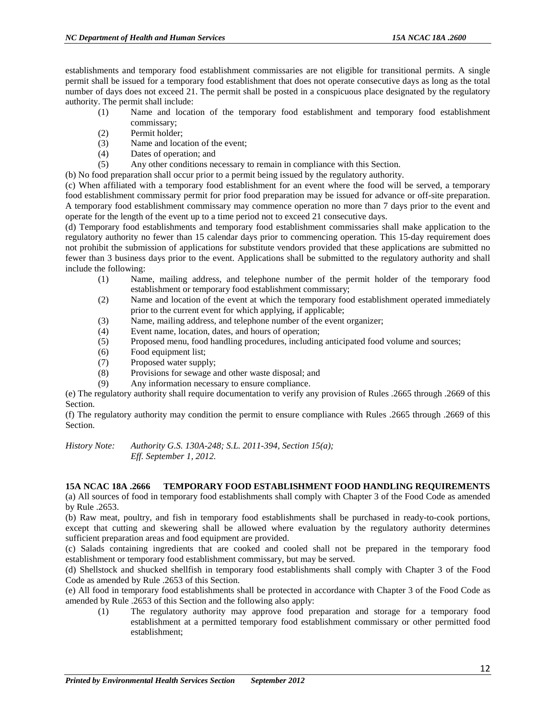establishments and temporary food establishment commissaries are not eligible for transitional permits. A single permit shall be issued for a temporary food establishment that does not operate consecutive days as long as the total number of days does not exceed 21. The permit shall be posted in a conspicuous place designated by the regulatory authority. The permit shall include:

- (1) Name and location of the temporary food establishment and temporary food establishment commissary;
- (2) Permit holder;
- (3) Name and location of the event;
- (4) Dates of operation; and
- (5) Any other conditions necessary to remain in compliance with this Section.
- (b) No food preparation shall occur prior to a permit being issued by the regulatory authority.

(c) When affiliated with a temporary food establishment for an event where the food will be served, a temporary food establishment commissary permit for prior food preparation may be issued for advance or off-site preparation. A temporary food establishment commissary may commence operation no more than 7 days prior to the event and operate for the length of the event up to a time period not to exceed 21 consecutive days.

(d) Temporary food establishments and temporary food establishment commissaries shall make application to the regulatory authority no fewer than 15 calendar days prior to commencing operation. This 15-day requirement does not prohibit the submission of applications for substitute vendors provided that these applications are submitted no fewer than 3 business days prior to the event. Applications shall be submitted to the regulatory authority and shall include the following:

- (1) Name, mailing address, and telephone number of the permit holder of the temporary food establishment or temporary food establishment commissary;
- (2) Name and location of the event at which the temporary food establishment operated immediately prior to the current event for which applying, if applicable;
- (3) Name, mailing address, and telephone number of the event organizer;
- (4) Event name, location, dates, and hours of operation;
- (5) Proposed menu, food handling procedures, including anticipated food volume and sources;
- (6) Food equipment list;
- (7) Proposed water supply;
- (8) Provisions for sewage and other waste disposal; and
- (9) Any information necessary to ensure compliance.

(e) The regulatory authority shall require documentation to verify any provision of Rules .2665 through .2669 of this Section.

(f) The regulatory authority may condition the permit to ensure compliance with Rules .2665 through .2669 of this Section.

*History Note: Authority G.S. 130A-248; S.L. 2011-394, Section 15(a); Eff. September 1, 2012.*

#### **15A NCAC 18A .2666 TEMPORARY FOOD ESTABLISHMENT FOOD HANDLING REQUIREMENTS**

(a) All sources of food in temporary food establishments shall comply with Chapter 3 of the Food Code as amended by Rule .2653.

(b) Raw meat, poultry, and fish in temporary food establishments shall be purchased in ready-to-cook portions, except that cutting and skewering shall be allowed where evaluation by the regulatory authority determines sufficient preparation areas and food equipment are provided.

(c) Salads containing ingredients that are cooked and cooled shall not be prepared in the temporary food establishment or temporary food establishment commissary, but may be served.

(d) Shellstock and shucked shellfish in temporary food establishments shall comply with Chapter 3 of the Food Code as amended by Rule .2653 of this Section.

(e) All food in temporary food establishments shall be protected in accordance with Chapter 3 of the Food Code as amended by Rule .2653 of this Section and the following also apply:

(1) The regulatory authority may approve food preparation and storage for a temporary food establishment at a permitted temporary food establishment commissary or other permitted food establishment;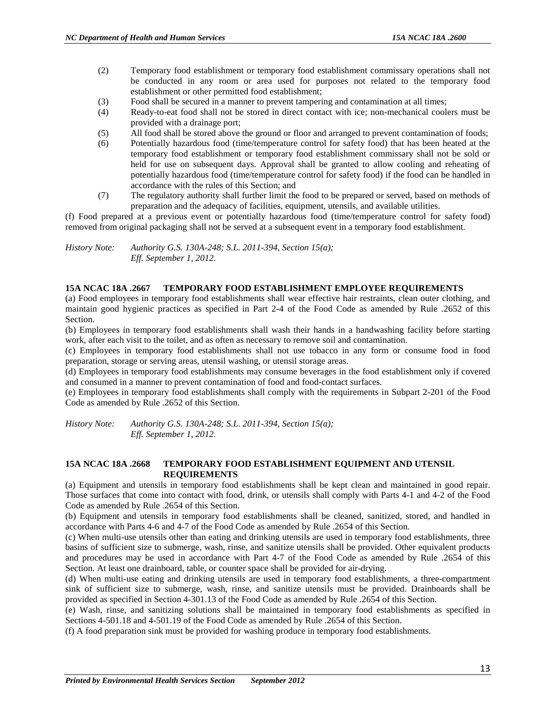- (2) Temporary food establishment or temporary food establishment commissary operations shall not be conducted in any room or area used for purposes not related to the temporary food establishment or other permitted food establishment;
- (3) Food shall be secured in a manner to prevent tampering and contamination at all times;
- (4) Ready-to-eat food shall not be stored in direct contact with ice; non-mechanical coolers must be provided with a drainage port;
- (5) All food shall be stored above the ground or floor and arranged to prevent contamination of foods;
- (6) Potentially hazardous food (time/temperature control for safety food) that has been heated at the temporary food establishment or temporary food establishment commissary shall not be sold or held for use on subsequent days. Approval shall be granted to allow cooling and reheating of potentially hazardous food (time/temperature control for safety food) if the food can be handled in accordance with the rules of this Section; and
- (7) The regulatory authority shall further limit the food to be prepared or served, based on methods of preparation and the adequacy of facilities, equipment, utensils, and available utilities.

(f) Food prepared at a previous event or potentially hazardous food (time/temperature control for safety food) removed from original packaging shall not be served at a subsequent event in a temporary food establishment.

*History Note: Authority G.S. 130A-248; S.L. 2011-394, Section 15(a); Eff. September 1, 2012.*

#### **15A NCAC 18A .2667 TEMPORARY FOOD ESTABLISHMENT EMPLOYEE REQUIREMENTS**

(a) Food employees in temporary food establishments shall wear effective hair restraints, clean outer clothing, and maintain good hygienic practices as specified in Part 2-4 of the Food Code as amended by Rule .2652 of this Section.

(b) Employees in temporary food establishments shall wash their hands in a handwashing facility before starting work, after each visit to the toilet, and as often as necessary to remove soil and contamination.

(c) Employees in temporary food establishments shall not use tobacco in any form or consume food in food preparation, storage or serving areas, utensil washing, or utensil storage areas.

(d) Employees in temporary food establishments may consume beverages in the food establishment only if covered and consumed in a manner to prevent contamination of food and food-contact surfaces.

(e) Employees in temporary food establishments shall comply with the requirements in Subpart 2-201 of the Food Code as amended by Rule .2652 of this Section.

*History Note: Authority G.S. 130A-248; S.L. 2011-394, Section 15(a); Eff. September 1, 2012.*

#### **15A NCAC 18A .2668 TEMPORARY FOOD ESTABLISHMENT EQUIPMENT AND UTENSIL REQUIREMENTS**

(a) Equipment and utensils in temporary food establishments shall be kept clean and maintained in good repair. Those surfaces that come into contact with food, drink, or utensils shall comply with Parts 4-1 and 4-2 of the Food Code as amended by Rule .2654 of this Section.

(b) Equipment and utensils in temporary food establishments shall be cleaned, sanitized, stored, and handled in accordance with Parts 4-6 and 4-7 of the Food Code as amended by Rule .2654 of this Section.

(c) When multi-use utensils other than eating and drinking utensils are used in temporary food establishments, three basins of sufficient size to submerge, wash, rinse, and sanitize utensils shall be provided. Other equivalent products and procedures may be used in accordance with Part 4-7 of the Food Code as amended by Rule .2654 of this Section. At least one drainboard, table, or counter space shall be provided for air-drying.

(d) When multi-use eating and drinking utensils are used in temporary food establishments, a three-compartment sink of sufficient size to submerge, wash, rinse, and sanitize utensils must be provided. Drainboards shall be provided as specified in Section 4-301.13 of the Food Code as amended by Rule .2654 of this Section.

(e) Wash, rinse, and sanitizing solutions shall be maintained in temporary food establishments as specified in Sections 4-501.18 and 4-501.19 of the Food Code as amended by Rule .2654 of this Section.

(f) A food preparation sink must be provided for washing produce in temporary food establishments.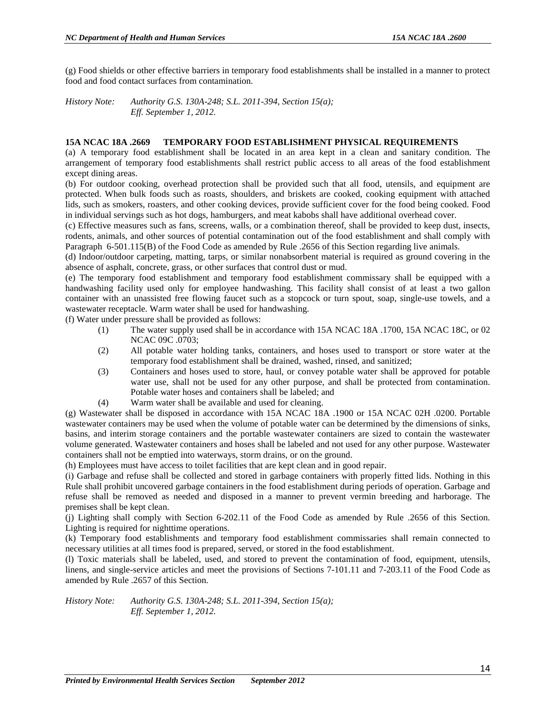(g) Food shields or other effective barriers in temporary food establishments shall be installed in a manner to protect food and food contact surfaces from contamination.

*History Note: Authority G.S. 130A-248; S.L. 2011-394, Section 15(a); Eff. September 1, 2012.*

#### **15A NCAC 18A .2669 TEMPORARY FOOD ESTABLISHMENT PHYSICAL REQUIREMENTS**

(a) A temporary food establishment shall be located in an area kept in a clean and sanitary condition. The arrangement of temporary food establishments shall restrict public access to all areas of the food establishment except dining areas.

(b) For outdoor cooking, overhead protection shall be provided such that all food, utensils, and equipment are protected. When bulk foods such as roasts, shoulders, and briskets are cooked, cooking equipment with attached lids, such as smokers, roasters, and other cooking devices, provide sufficient cover for the food being cooked. Food in individual servings such as hot dogs, hamburgers, and meat kabobs shall have additional overhead cover.

(c) Effective measures such as fans, screens, walls, or a combination thereof, shall be provided to keep dust, insects, rodents, animals, and other sources of potential contamination out of the food establishment and shall comply with Paragraph 6-501.115(B) of the Food Code as amended by Rule .2656 of this Section regarding live animals.

(d) Indoor/outdoor carpeting, matting, tarps, or similar nonabsorbent material is required as ground covering in the absence of asphalt, concrete, grass, or other surfaces that control dust or mud.

(e) The temporary food establishment and temporary food establishment commissary shall be equipped with a handwashing facility used only for employee handwashing. This facility shall consist of at least a two gallon container with an unassisted free flowing faucet such as a stopcock or turn spout, soap, single-use towels, and a wastewater receptacle. Warm water shall be used for handwashing.

(f) Water under pressure shall be provided as follows:

- (1) The water supply used shall be in accordance with 15A NCAC 18A .1700, 15A NCAC 18C, or 02 NCAC 09C .0703;
- (2) All potable water holding tanks, containers, and hoses used to transport or store water at the temporary food establishment shall be drained, washed, rinsed, and sanitized;
- (3) Containers and hoses used to store, haul, or convey potable water shall be approved for potable water use, shall not be used for any other purpose, and shall be protected from contamination. Potable water hoses and containers shall be labeled; and
- (4) Warm water shall be available and used for cleaning.

(g) Wastewater shall be disposed in accordance with 15A NCAC 18A .1900 or 15A NCAC 02H .0200. Portable wastewater containers may be used when the volume of potable water can be determined by the dimensions of sinks, basins, and interim storage containers and the portable wastewater containers are sized to contain the wastewater volume generated. Wastewater containers and hoses shall be labeled and not used for any other purpose. Wastewater containers shall not be emptied into waterways, storm drains, or on the ground.

(h) Employees must have access to toilet facilities that are kept clean and in good repair.

(i) Garbage and refuse shall be collected and stored in garbage containers with properly fitted lids. Nothing in this Rule shall prohibit uncovered garbage containers in the food establishment during periods of operation. Garbage and refuse shall be removed as needed and disposed in a manner to prevent vermin breeding and harborage. The premises shall be kept clean.

(j) Lighting shall comply with Section 6-202.11 of the Food Code as amended by Rule .2656 of this Section. Lighting is required for nighttime operations.

(k) Temporary food establishments and temporary food establishment commissaries shall remain connected to necessary utilities at all times food is prepared, served, or stored in the food establishment.

(l) Toxic materials shall be labeled, used, and stored to prevent the contamination of food, equipment, utensils, linens, and single-service articles and meet the provisions of Sections 7-101.11 and 7-203.11 of the Food Code as amended by Rule .2657 of this Section.

*History Note: Authority G.S. 130A-248; S.L. 2011-394, Section 15(a); Eff. September 1, 2012.*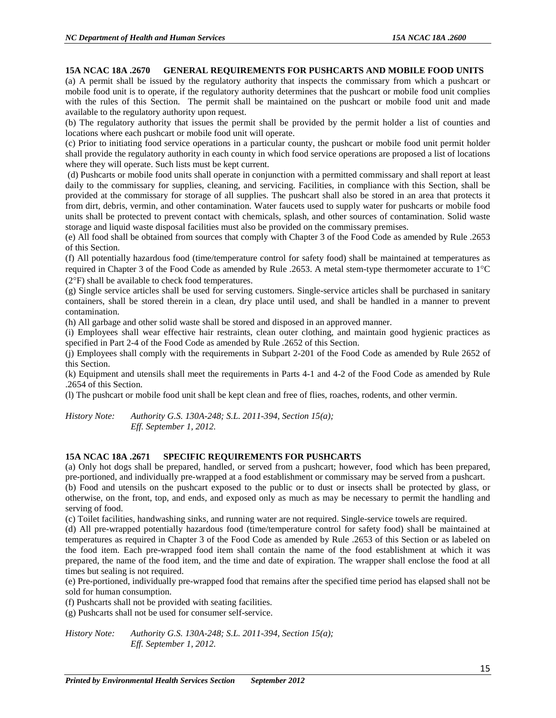#### **15A NCAC 18A .2670 GENERAL REQUIREMENTS FOR PUSHCARTS AND MOBILE FOOD UNITS**

(a) A permit shall be issued by the regulatory authority that inspects the commissary from which a pushcart or mobile food unit is to operate, if the regulatory authority determines that the pushcart or mobile food unit complies with the rules of this Section. The permit shall be maintained on the pushcart or mobile food unit and made available to the regulatory authority upon request.

(b) The regulatory authority that issues the permit shall be provided by the permit holder a list of counties and locations where each pushcart or mobile food unit will operate.

(c) Prior to initiating food service operations in a particular county, the pushcart or mobile food unit permit holder shall provide the regulatory authority in each county in which food service operations are proposed a list of locations where they will operate. Such lists must be kept current.

(d) Pushcarts or mobile food units shall operate in conjunction with a permitted commissary and shall report at least daily to the commissary for supplies, cleaning, and servicing. Facilities, in compliance with this Section, shall be provided at the commissary for storage of all supplies. The pushcart shall also be stored in an area that protects it from dirt, debris, vermin, and other contamination. Water faucets used to supply water for pushcarts or mobile food units shall be protected to prevent contact with chemicals, splash, and other sources of contamination. Solid waste storage and liquid waste disposal facilities must also be provided on the commissary premises.

(e) All food shall be obtained from sources that comply with Chapter 3 of the Food Code as amended by Rule .2653 of this Section.

(f) All potentially hazardous food (time/temperature control for safety food) shall be maintained at temperatures as required in Chapter 3 of the Food Code as amended by Rule .2653. A metal stem-type thermometer accurate to 1°C (2°F) shall be available to check food temperatures.

(g) Single service articles shall be used for serving customers. Single-service articles shall be purchased in sanitary containers, shall be stored therein in a clean, dry place until used, and shall be handled in a manner to prevent contamination.

(h) All garbage and other solid waste shall be stored and disposed in an approved manner.

(i) Employees shall wear effective hair restraints, clean outer clothing, and maintain good hygienic practices as specified in Part 2-4 of the Food Code as amended by Rule .2652 of this Section.

(j) Employees shall comply with the requirements in Subpart 2-201 of the Food Code as amended by Rule 2652 of this Section.

(k) Equipment and utensils shall meet the requirements in Parts 4-1 and 4-2 of the Food Code as amended by Rule .2654 of this Section.

(l) The pushcart or mobile food unit shall be kept clean and free of flies, roaches, rodents, and other vermin.

*History Note: Authority G.S. 130A-248; S.L. 2011-394, Section 15(a); Eff. September 1, 2012.*

#### **15A NCAC 18A .2671 SPECIFIC REQUIREMENTS FOR PUSHCARTS**

(a) Only hot dogs shall be prepared, handled, or served from a pushcart; however, food which has been prepared, pre-portioned, and individually pre-wrapped at a food establishment or commissary may be served from a pushcart.

(b) Food and utensils on the pushcart exposed to the public or to dust or insects shall be protected by glass, or otherwise, on the front, top, and ends, and exposed only as much as may be necessary to permit the handling and serving of food.

(c) Toilet facilities, handwashing sinks, and running water are not required. Single-service towels are required.

(d) All pre-wrapped potentially hazardous food (time/temperature control for safety food) shall be maintained at temperatures as required in Chapter 3 of the Food Code as amended by Rule .2653 of this Section or as labeled on the food item. Each pre-wrapped food item shall contain the name of the food establishment at which it was prepared, the name of the food item, and the time and date of expiration. The wrapper shall enclose the food at all times but sealing is not required.

(e) Pre-portioned, individually pre-wrapped food that remains after the specified time period has elapsed shall not be sold for human consumption.

(f) Pushcarts shall not be provided with seating facilities.

(g) Pushcarts shall not be used for consumer self-service.

*History Note: Authority G.S. 130A-248; S.L. 2011-394, Section 15(a); Eff. September 1, 2012.*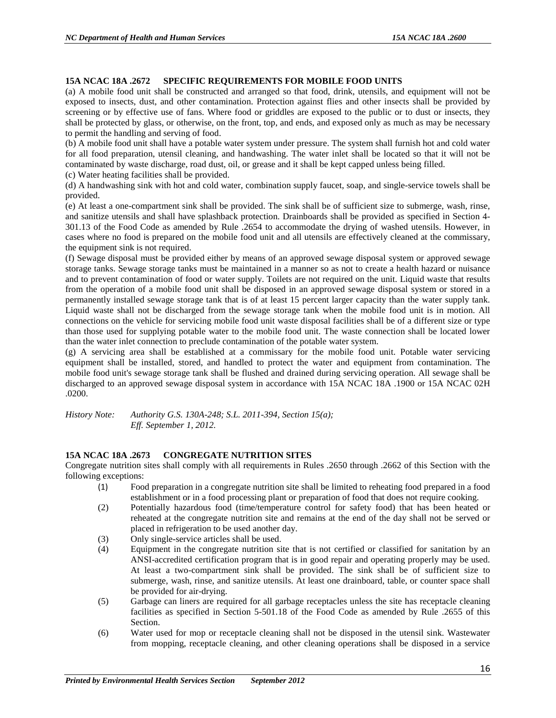#### **15A NCAC 18A .2672 SPECIFIC REQUIREMENTS FOR MOBILE FOOD UNITS**

(a) A mobile food unit shall be constructed and arranged so that food, drink, utensils, and equipment will not be exposed to insects, dust, and other contamination. Protection against flies and other insects shall be provided by screening or by effective use of fans. Where food or griddles are exposed to the public or to dust or insects, they shall be protected by glass, or otherwise, on the front, top, and ends, and exposed only as much as may be necessary to permit the handling and serving of food.

(b) A mobile food unit shall have a potable water system under pressure. The system shall furnish hot and cold water for all food preparation, utensil cleaning, and handwashing. The water inlet shall be located so that it will not be contaminated by waste discharge, road dust, oil, or grease and it shall be kept capped unless being filled.

(c) Water heating facilities shall be provided.

(d) A handwashing sink with hot and cold water, combination supply faucet, soap, and single-service towels shall be provided.

(e) At least a one-compartment sink shall be provided. The sink shall be of sufficient size to submerge, wash, rinse, and sanitize utensils and shall have splashback protection. Drainboards shall be provided as specified in Section 4- 301.13 of the Food Code as amended by Rule .2654 to accommodate the drying of washed utensils. However, in cases where no food is prepared on the mobile food unit and all utensils are effectively cleaned at the commissary, the equipment sink is not required.

(f) Sewage disposal must be provided either by means of an approved sewage disposal system or approved sewage storage tanks. Sewage storage tanks must be maintained in a manner so as not to create a health hazard or nuisance and to prevent contamination of food or water supply. Toilets are not required on the unit. Liquid waste that results from the operation of a mobile food unit shall be disposed in an approved sewage disposal system or stored in a permanently installed sewage storage tank that is of at least 15 percent larger capacity than the water supply tank. Liquid waste shall not be discharged from the sewage storage tank when the mobile food unit is in motion. All connections on the vehicle for servicing mobile food unit waste disposal facilities shall be of a different size or type than those used for supplying potable water to the mobile food unit. The waste connection shall be located lower than the water inlet connection to preclude contamination of the potable water system.

(g) A servicing area shall be established at a commissary for the mobile food unit. Potable water servicing equipment shall be installed, stored, and handled to protect the water and equipment from contamination. The mobile food unit's sewage storage tank shall be flushed and drained during servicing operation. All sewage shall be discharged to an approved sewage disposal system in accordance with 15A NCAC 18A .1900 or 15A NCAC 02H .0200.

*History Note: Authority G.S. 130A-248; S.L. 2011-394, Section 15(a); Eff. September 1, 2012.*

#### **15A NCAC 18A .2673 CONGREGATE NUTRITION SITES**

Congregate nutrition sites shall comply with all requirements in Rules .2650 through .2662 of this Section with the following exceptions:

- (1) Food preparation in a congregate nutrition site shall be limited to reheating food prepared in a food establishment or in a food processing plant or preparation of food that does not require cooking.
- (2) Potentially hazardous food (time/temperature control for safety food) that has been heated or reheated at the congregate nutrition site and remains at the end of the day shall not be served or placed in refrigeration to be used another day.
- (3) Only single-service articles shall be used.<br>(4) Equipment in the congregate nutrition si
- Equipment in the congregate nutrition site that is not certified or classified for sanitation by an ANSI-accredited certification program that is in good repair and operating properly may be used. At least a two-compartment sink shall be provided. The sink shall be of sufficient size to submerge, wash, rinse, and sanitize utensils. At least one drainboard, table, or counter space shall be provided for air-drying.
- (5) Garbage can liners are required for all garbage receptacles unless the site has receptacle cleaning facilities as specified in Section 5-501.18 of the Food Code as amended by Rule .2655 of this Section.
- (6) Water used for mop or receptacle cleaning shall not be disposed in the utensil sink. Wastewater from mopping, receptacle cleaning, and other cleaning operations shall be disposed in a service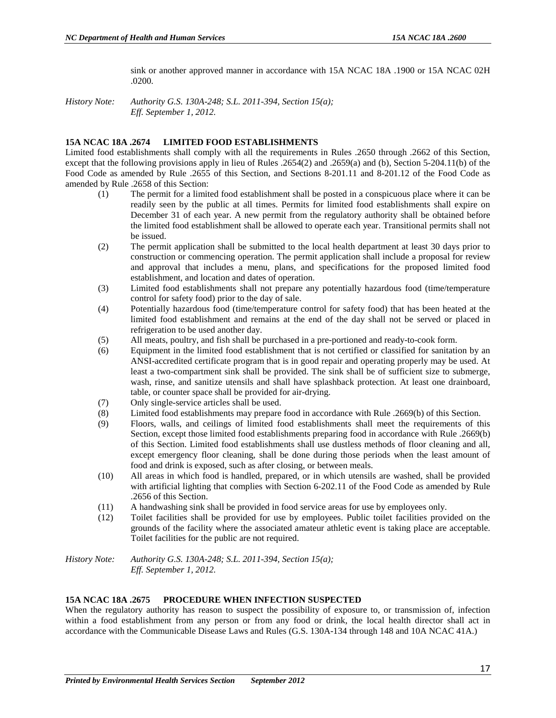sink or another approved manner in accordance with 15A NCAC 18A .1900 or 15A NCAC 02H .0200.

*History Note: Authority G.S. 130A-248; S.L. 2011-394, Section 15(a); Eff. September 1, 2012.*

#### **15A NCAC 18A .2674 LIMITED FOOD ESTABLISHMENTS**

Limited food establishments shall comply with all the requirements in Rules .2650 through .2662 of this Section, except that the following provisions apply in lieu of Rules .2654(2) and .2659(a) and (b), Section 5-204.11(b) of the Food Code as amended by Rule .2655 of this Section, and Sections 8-201.11 and 8-201.12 of the Food Code as amended by Rule .2658 of this Section:

- (1) The permit for a limited food establishment shall be posted in a conspicuous place where it can be readily seen by the public at all times. Permits for limited food establishments shall expire on December 31 of each year. A new permit from the regulatory authority shall be obtained before the limited food establishment shall be allowed to operate each year. Transitional permits shall not be issued.
- (2) The permit application shall be submitted to the local health department at least 30 days prior to construction or commencing operation. The permit application shall include a proposal for review and approval that includes a menu, plans, and specifications for the proposed limited food establishment, and location and dates of operation.
- (3) Limited food establishments shall not prepare any potentially hazardous food (time/temperature control for safety food) prior to the day of sale.
- (4) Potentially hazardous food (time/temperature control for safety food) that has been heated at the limited food establishment and remains at the end of the day shall not be served or placed in refrigeration to be used another day.
- (5) All meats, poultry, and fish shall be purchased in a pre-portioned and ready-to-cook form.
- (6) Equipment in the limited food establishment that is not certified or classified for sanitation by an ANSI-accredited certificate program that is in good repair and operating properly may be used. At least a two-compartment sink shall be provided. The sink shall be of sufficient size to submerge, wash, rinse, and sanitize utensils and shall have splashback protection. At least one drainboard, table, or counter space shall be provided for air-drying.
- (7) Only single-service articles shall be used.
- (8) Limited food establishments may prepare food in accordance with Rule .2669(b) of this Section.
- (9) Floors, walls, and ceilings of limited food establishments shall meet the requirements of this Section, except those limited food establishments preparing food in accordance with Rule .2669(b) of this Section. Limited food establishments shall use dustless methods of floor cleaning and all, except emergency floor cleaning, shall be done during those periods when the least amount of food and drink is exposed, such as after closing, or between meals.
- (10) All areas in which food is handled, prepared, or in which utensils are washed, shall be provided with artificial lighting that complies with Section 6-202.11 of the Food Code as amended by Rule .2656 of this Section.
- (11) A handwashing sink shall be provided in food service areas for use by employees only.
- (12) Toilet facilities shall be provided for use by employees. Public toilet facilities provided on the grounds of the facility where the associated amateur athletic event is taking place are acceptable. Toilet facilities for the public are not required.
- *History Note: Authority G.S. 130A-248; S.L. 2011-394, Section 15(a); Eff. September 1, 2012.*

#### **15A NCAC 18A .2675 PROCEDURE WHEN INFECTION SUSPECTED**

When the regulatory authority has reason to suspect the possibility of exposure to, or transmission of, infection within a food establishment from any person or from any food or drink, the local health director shall act in accordance with the Communicable Disease Laws and Rules (G.S. 130A-134 through 148 and 10A NCAC 41A.)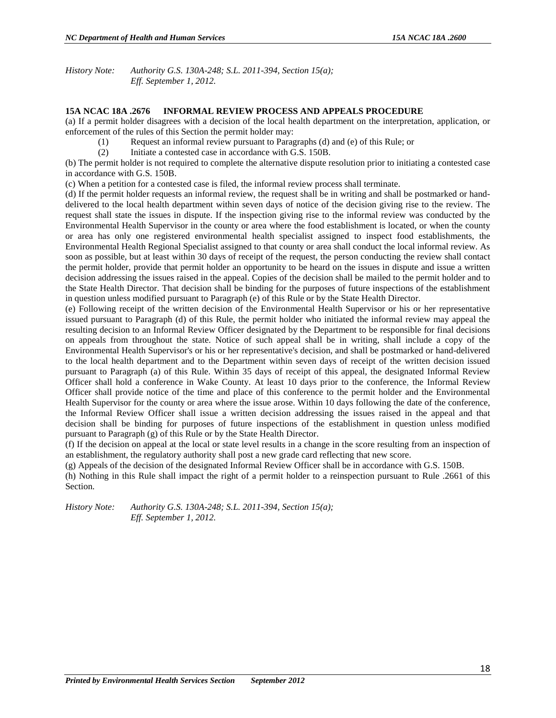*History Note: Authority G.S. 130A-248; S.L. 2011-394, Section 15(a); Eff. September 1, 2012.*

#### **15A NCAC 18A .2676 INFORMAL REVIEW PROCESS AND APPEALS PROCEDURE**

(a) If a permit holder disagrees with a decision of the local health department on the interpretation, application, or enforcement of the rules of this Section the permit holder may:

- (1) Request an informal review pursuant to Paragraphs (d) and (e) of this Rule; or
- (2) Initiate a contested case in accordance with G.S. 150B.

(b) The permit holder is not required to complete the alternative dispute resolution prior to initiating a contested case in accordance with G.S. 150B.

(c) When a petition for a contested case is filed, the informal review process shall terminate.

(d) If the permit holder requests an informal review, the request shall be in writing and shall be postmarked or handdelivered to the local health department within seven days of notice of the decision giving rise to the review. The request shall state the issues in dispute. If the inspection giving rise to the informal review was conducted by the Environmental Health Supervisor in the county or area where the food establishment is located, or when the county or area has only one registered environmental health specialist assigned to inspect food establishments, the Environmental Health Regional Specialist assigned to that county or area shall conduct the local informal review. As soon as possible, but at least within 30 days of receipt of the request, the person conducting the review shall contact the permit holder, provide that permit holder an opportunity to be heard on the issues in dispute and issue a written decision addressing the issues raised in the appeal. Copies of the decision shall be mailed to the permit holder and to the State Health Director. That decision shall be binding for the purposes of future inspections of the establishment in question unless modified pursuant to Paragraph (e) of this Rule or by the State Health Director.

(e) Following receipt of the written decision of the Environmental Health Supervisor or his or her representative issued pursuant to Paragraph (d) of this Rule, the permit holder who initiated the informal review may appeal the resulting decision to an Informal Review Officer designated by the Department to be responsible for final decisions on appeals from throughout the state. Notice of such appeal shall be in writing, shall include a copy of the Environmental Health Supervisor's or his or her representative's decision, and shall be postmarked or hand-delivered to the local health department and to the Department within seven days of receipt of the written decision issued pursuant to Paragraph (a) of this Rule. Within 35 days of receipt of this appeal, the designated Informal Review Officer shall hold a conference in Wake County. At least 10 days prior to the conference, the Informal Review Officer shall provide notice of the time and place of this conference to the permit holder and the Environmental Health Supervisor for the county or area where the issue arose. Within 10 days following the date of the conference, the Informal Review Officer shall issue a written decision addressing the issues raised in the appeal and that decision shall be binding for purposes of future inspections of the establishment in question unless modified pursuant to Paragraph (g) of this Rule or by the State Health Director.

(f) If the decision on appeal at the local or state level results in a change in the score resulting from an inspection of an establishment, the regulatory authority shall post a new grade card reflecting that new score.

(g) Appeals of the decision of the designated Informal Review Officer shall be in accordance with G.S. 150B.

(h) Nothing in this Rule shall impact the right of a permit holder to a reinspection pursuant to Rule .2661 of this Section.

*History Note: Authority G.S. 130A-248; S.L. 2011-394, Section 15(a); Eff. September 1, 2012.*